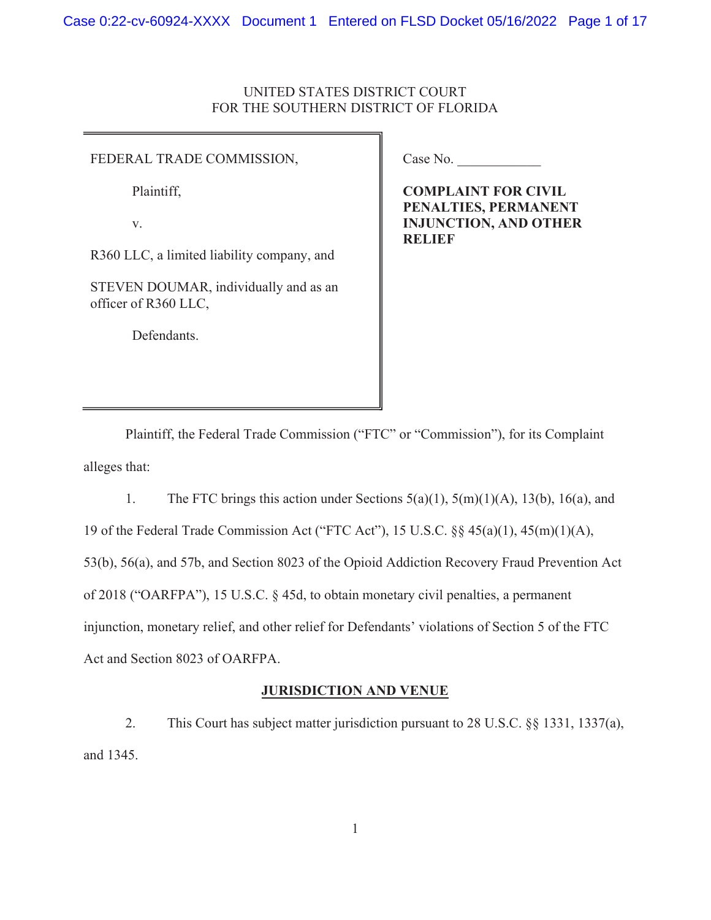## UNITED STATES DISTRICT COURT FOR THE SOUTHERN DISTRICT OF FLORIDA

#### FEDERAL TRADE COMMISSION,

Plaintiff,

v.

R360 LLC, a limited liability company, and

STEVEN DOUMAR, individually and as an officer of R360 LLC,

Defendants.

Case No.

 INJUNCTION, AND OTHER COMPLAINT FOR CIVIL PENALTIES, PERMANENT **RELIEF** 

Plaintiff, the Federal Trade Commission ("FTC" or "Commission"), for its Complaint alleges that:

1. The FTC brings this action under Sections 5(a)(1), 5(m)(1)(A), 13(b), 16(a), and 19 of the Federal Trade Commission Act ("FTC Act"), 15 U.S.C. §§ 45(a)(1), 45(m)(1)(A), 53(b), 56(a), and 57b, and Section 8023 of the Opioid Addiction Recovery Fraud Prevention Act of 2018 ("OARFPA"), 15 U.S.C. § 45d, to obtain monetary civil penalties, a permanent injunction, monetary relief, and other relief for Defendants' violations of Section 5 of the FTC Act and Section 8023 of OARFPA.

### JURISDICTION AND VENUE

2. This Court has subject matter jurisdiction pursuant to 28 U.S.C. §§ 1331, 1337(a), and 1345.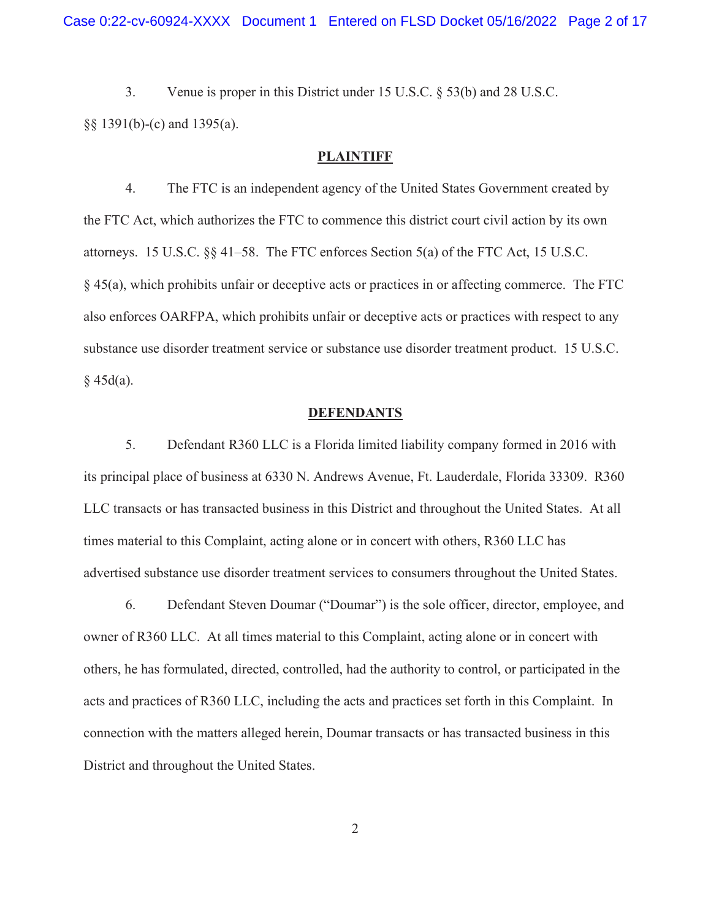3. Venue is proper in this District under 15 U.S.C. § 53(b) and 28 U.S.C. §§ 1391(b)-(c) and 1395(a).

### **PLAINTIFF**

 § 45(a), which prohibits unfair or deceptive acts or practices in or affecting commerce. The FTC also enforces OARFPA, which prohibits unfair or deceptive acts or practices with respect to any 4. The FTC is an independent agency of the United States Government created by the FTC Act, which authorizes the FTC to commence this district court civil action by its own attorneys. 15 U.S.C. §§ 41–58. The FTC enforces Section 5(a) of the FTC Act, 15 U.S.C. substance use disorder treatment service or substance use disorder treatment product. 15 U.S.C.  $§$  45d(a).

#### **DEFENDANTS**

5. Defendant R360 LLC is a Florida limited liability company formed in 2016 with its principal place of business at 6330 N. Andrews Avenue, Ft. Lauderdale, Florida 33309. R360 LLC transacts or has transacted business in this District and throughout the United States. At all times material to this Complaint, acting alone or in concert with others, R360 LLC has advertised substance use disorder treatment services to consumers throughout the United States.

 6. Defendant Steven Doumar ("Doumar") is the sole officer, director, employee, and owner of R360 LLC. At all times material to this Complaint, acting alone or in concert with others, he has formulated, directed, controlled, had the authority to control, or participated in the acts and practices of R360 LLC, including the acts and practices set forth in this Complaint. In connection with the matters alleged herein, Doumar transacts or has transacted business in this District and throughout the United States.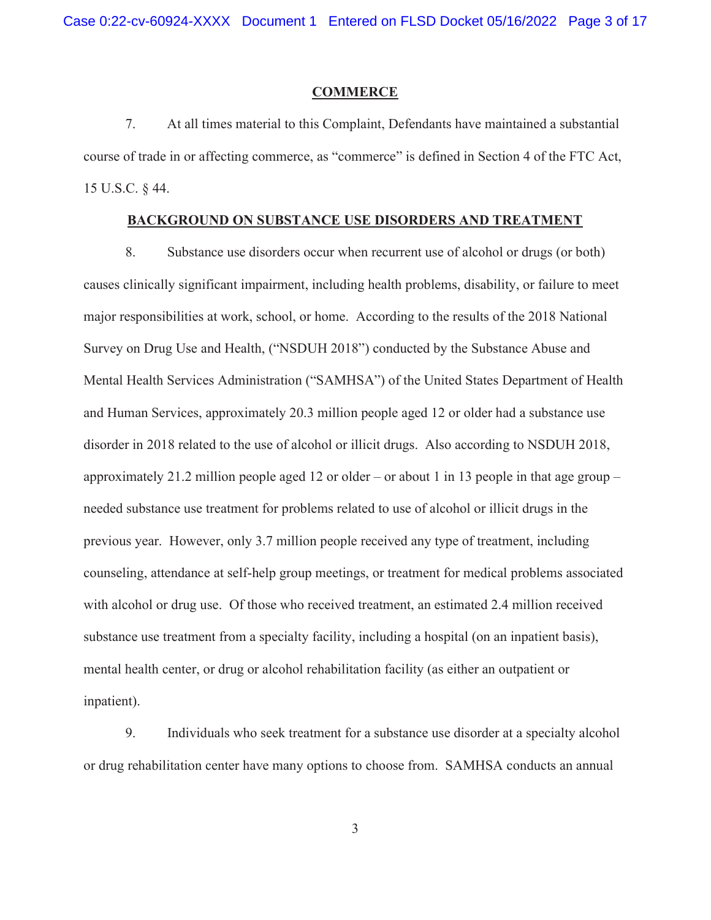#### **COMMERCE**

7. At all times material to this Complaint, Defendants have maintained a substantial course of trade in or affecting commerce, as "commerce" is defined in Section 4 of the FTC Act, 15 U.S.C. § 44.

### BACKGROUND ON SUBSTANCE USE DISORDERS AND TREATMENT

 major responsibilities at work, school, or home. According to the results of the 2018 National approximately 21.2 million people aged 12 or older – or about 1 in 13 people in that age group – 8. Substance use disorders occur when recurrent use of alcohol or drugs (or both) causes clinically significant impairment, including health problems, disability, or failure to meet Survey on Drug Use and Health, ("NSDUH 2018") conducted by the Substance Abuse and Mental Health Services Administration ("SAMHSA") of the United States Department of Health and Human Services, approximately 20.3 million people aged 12 or older had a substance use disorder in 2018 related to the use of alcohol or illicit drugs. Also according to NSDUH 2018, needed substance use treatment for problems related to use of alcohol or illicit drugs in the previous year. However, only 3.7 million people received any type of treatment, including counseling, attendance at self-help group meetings, or treatment for medical problems associated with alcohol or drug use. Of those who received treatment, an estimated 2.4 million received substance use treatment from a specialty facility, including a hospital (on an inpatient basis), mental health center, or drug or alcohol rehabilitation facility (as either an outpatient or inpatient).

 9. Individuals who seek treatment for a substance use disorder at a specialty alcohol or drug rehabilitation center have many options to choose from. SAMHSA conducts an annual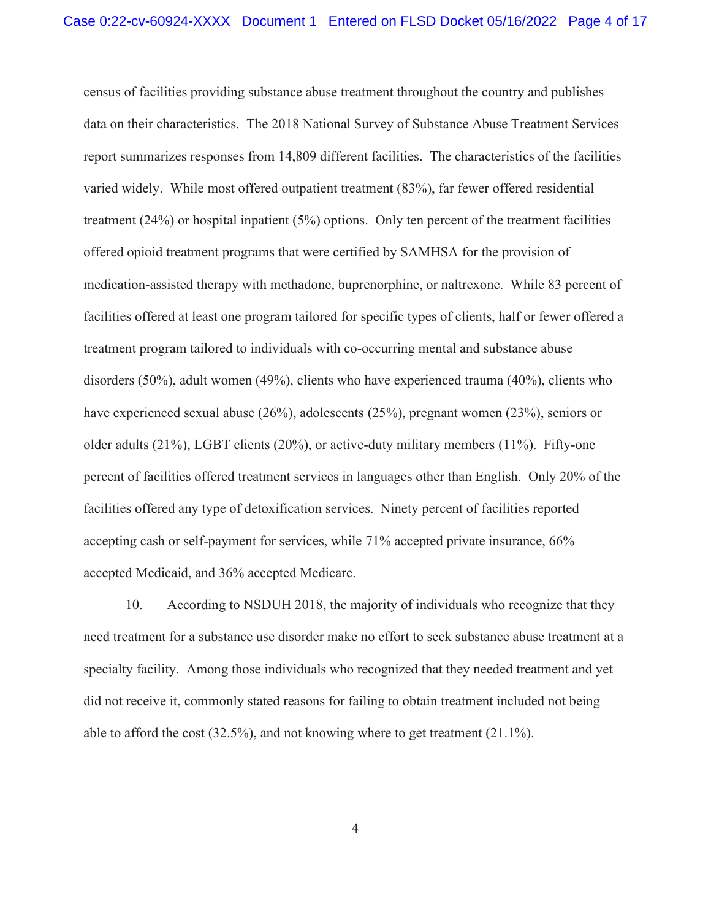varied widely. While most offered outpatient treatment (83%), far fewer offered residential census of facilities providing substance abuse treatment throughout the country and publishes data on their characteristics. The 2018 National Survey of Substance Abuse Treatment Services report summarizes responses from 14,809 different facilities. The characteristics of the facilities treatment (24%) or hospital inpatient (5%) options. Only ten percent of the treatment facilities offered opioid treatment programs that were certified by SAMHSA for the provision of medication-assisted therapy with methadone, buprenorphine, or naltrexone. While 83 percent of facilities offered at least one program tailored for specific types of clients, half or fewer offered a treatment program tailored to individuals with co-occurring mental and substance abuse disorders (50%), adult women (49%), clients who have experienced trauma (40%), clients who have experienced sexual abuse (26%), adolescents (25%), pregnant women (23%), seniors or older adults (21%), LGBT clients (20%), or active-duty military members (11%). Fifty-one percent of facilities offered treatment services in languages other than English. Only 20% of the facilities offered any type of detoxification services. Ninety percent of facilities reported accepting cash or self-payment for services, while 71% accepted private insurance, 66% accepted Medicaid, and 36% accepted Medicare.

 10. According to NSDUH 2018, the majority of individuals who recognize that they specialty facility. Among those individuals who recognized that they needed treatment and yet able to afford the cost (32.5%), and not knowing where to get treatment (21.1%). need treatment for a substance use disorder make no effort to seek substance abuse treatment at a did not receive it, commonly stated reasons for failing to obtain treatment included not being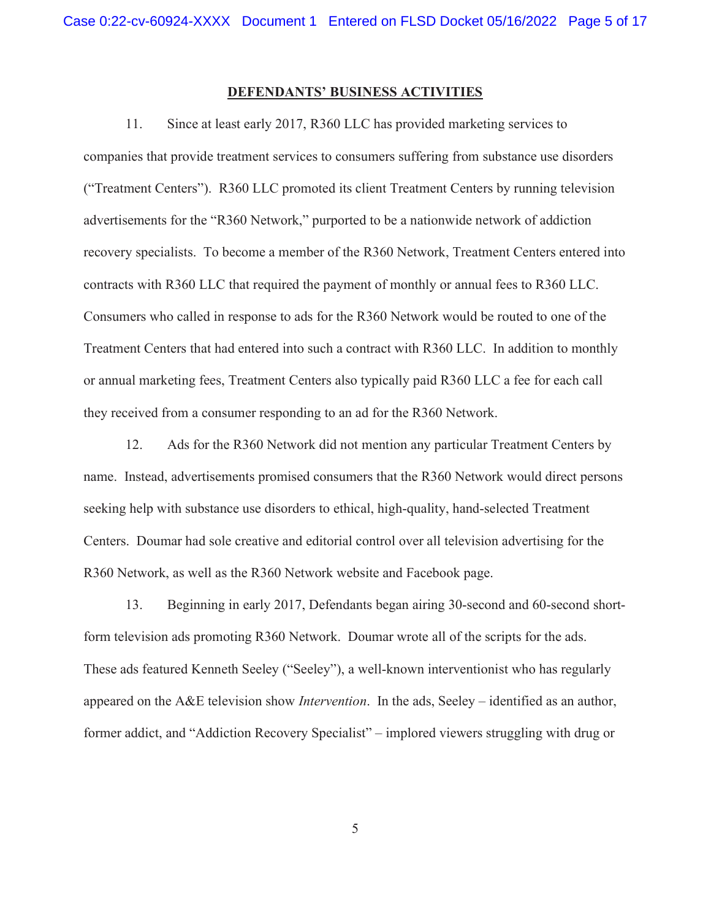## DEFENDANTS' BUSINESS ACTIVITIES

 ("Treatment Centers"). R360 LLC promoted its client Treatment Centers by running television 11. Since at least early 2017, R360 LLC has provided marketing services to companies that provide treatment services to consumers suffering from substance use disorders advertisements for the "R360 Network," purported to be a nationwide network of addiction recovery specialists. To become a member of the R360 Network, Treatment Centers entered into contracts with R360 LLC that required the payment of monthly or annual fees to R360 LLC. Consumers who called in response to ads for the R360 Network would be routed to one of the Treatment Centers that had entered into such a contract with R360 LLC. In addition to monthly or annual marketing fees, Treatment Centers also typically paid R360 LLC a fee for each call they received from a consumer responding to an ad for the R360 Network.

 name. Instead, advertisements promised consumers that the R360 Network would direct persons 12. Ads for the R360 Network did not mention any particular Treatment Centers by seeking help with substance use disorders to ethical, high-quality, hand-selected Treatment Centers. Doumar had sole creative and editorial control over all television advertising for the R360 Network, as well as the R360 Network website and Facebook page.

13. Beginning in early 2017, Defendants began airing 30-second and 60-second shortform television ads promoting R360 Network. Doumar wrote all of the scripts for the ads. These ads featured Kenneth Seeley ("Seeley"), a well-known interventionist who has regularly appeared on the A&E television show *Intervention*. In the ads, Seeley – identified as an author, former addict, and "Addiction Recovery Specialist" – implored viewers struggling with drug or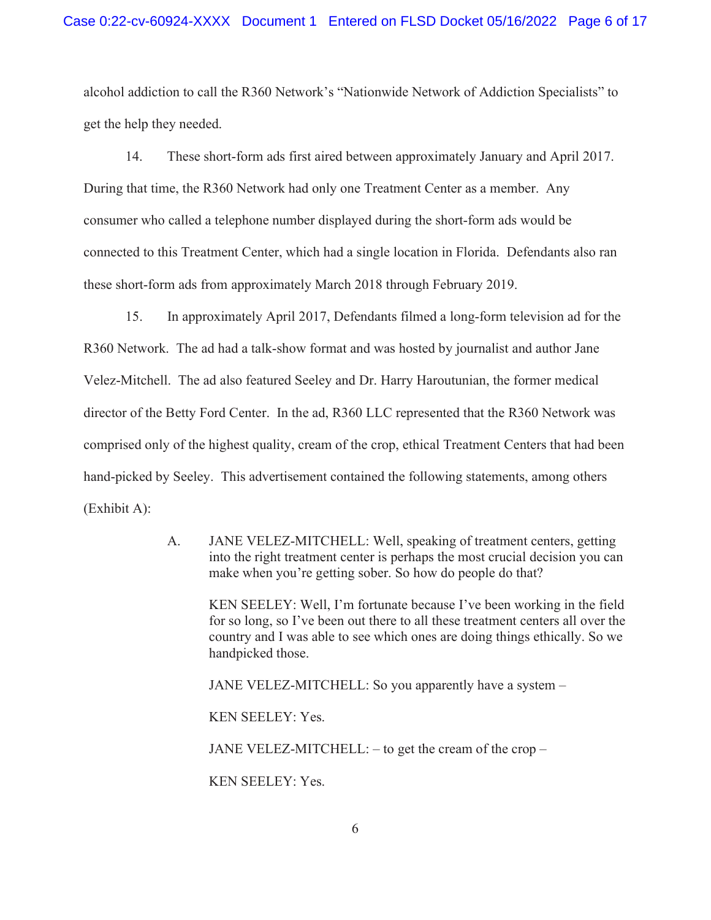alcohol addiction to call the R360 Network's "Nationwide Network of Addiction Specialists" to get the help they needed.

14. These short-form ads first aired between approximately January and April 2017. During that time, the R360 Network had only one Treatment Center as a member. Any consumer who called a telephone number displayed during the short-form ads would be connected to this Treatment Center, which had a single location in Florida. Defendants also ran these short-form ads from approximately March 2018 through February 2019.

 director of the Betty Ford Center. In the ad, R360 LLC represented that the R360 Network was hand-picked by Seeley. This advertisement contained the following statements, among others 15. In approximately April 2017, Defendants filmed a long-form television ad for the R360 Network. The ad had a talk-show format and was hosted by journalist and author Jane Velez-Mitchell. The ad also featured Seeley and Dr. Harry Haroutunian, the former medical comprised only of the highest quality, cream of the crop, ethical Treatment Centers that had been (Exhibit A):

> A. JANE VELEZ-MITCHELL: Well, speaking of treatment centers, getting into the right treatment center is perhaps the most crucial decision you can make when you're getting sober. So how do people do that?

KEN SEELEY: Well, I'm fortunate because I've been working in the field for so long, so I've been out there to all these treatment centers all over the country and I was able to see which ones are doing things ethically. So we handpicked those.

JANE VELEZ-MITCHELL: So you apparently have a system –

KEN SEELEY: Yes.

JANE VELEZ-MITCHELL:  $-$  to get the cream of the crop  $-$ 

KEN SEELEY: Yes.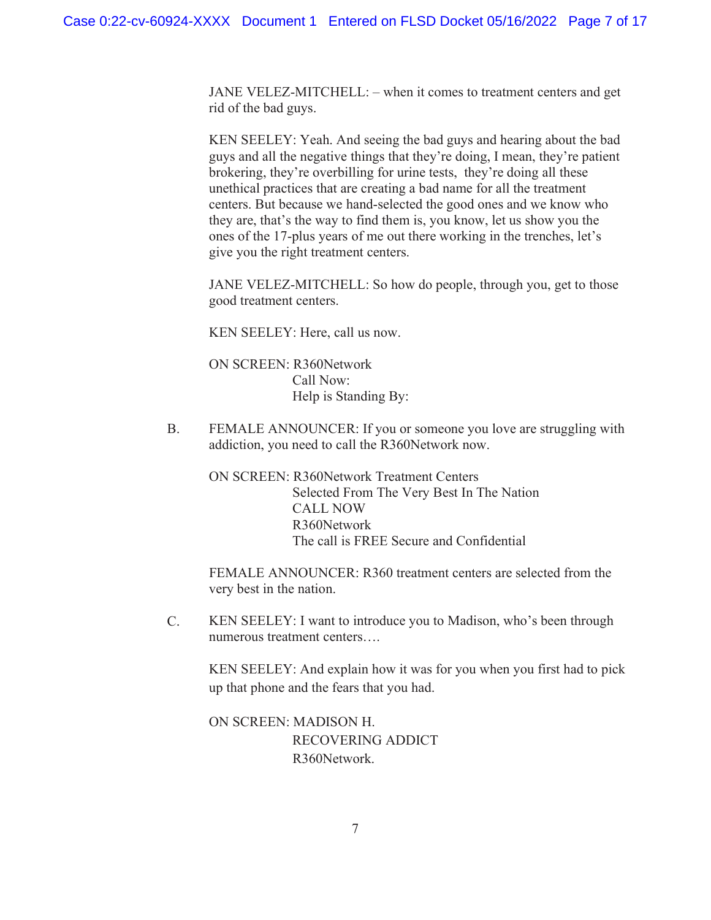JANE VELEZ-MITCHELL: – when it comes to treatment centers and get rid of the bad guys.

KEN SEELEY: Yeah. And seeing the bad guys and hearing about the bad guys and all the negative things that they're doing, I mean, they're patient brokering, they're overbilling for urine tests, they're doing all these unethical practices that are creating a bad name for all the treatment centers. But because we hand-selected the good ones and we know who they are, that's the way to find them is, you know, let us show you the ones of the 17-plus years of me out there working in the trenches, let's give you the right treatment centers.

JANE VELEZ-MITCHELL: So how do people, through you, get to those good treatment centers.

KEN SEELEY: Here, call us now.

ON SCREEN: R360Network Call Now: Help is Standing By:

B. FEMALE ANNOUNCER: If you or someone you love are struggling with addiction, you need to call the R360Network now.

ON SCREEN: R360Network Treatment Centers Selected From The Very Best In The Nation CALL NOW R360Network The call is FREE Secure and Confidential

FEMALE ANNOUNCER: R360 treatment centers are selected from the very best in the nation.

 KEN SEELEY: I want to introduce you to Madison, who's been through C. numerous treatment centers….

KEN SEELEY: And explain how it was for you when you first had to pick up that phone and the fears that you had.

ON SCREEN: MADISON H. RECOVERING ADDICT R360Network.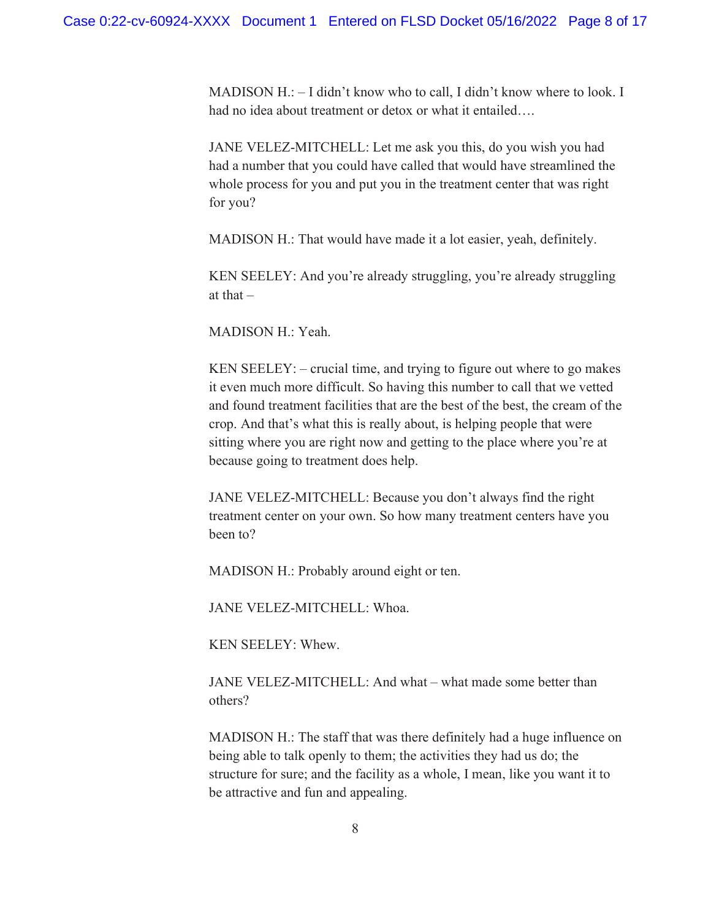MADISON H.: – I didn't know who to call, I didn't know where to look. I had no idea about treatment or detox or what it entailed….

JANE VELEZ-MITCHELL: Let me ask you this, do you wish you had had a number that you could have called that would have streamlined the whole process for you and put you in the treatment center that was right for you?

MADISON H.: That would have made it a lot easier, yeah, definitely.

KEN SEELEY: And you're already struggling, you're already struggling at that  $-$ 

MADISON H.: Yeah.

 crop. And that's what this is really about, is helping people that were KEN SEELEY: – crucial time, and trying to figure out where to go makes it even much more difficult. So having this number to call that we vetted and found treatment facilities that are the best of the best, the cream of the sitting where you are right now and getting to the place where you're at because going to treatment does help.

JANE VELEZ-MITCHELL: Because you don't always find the right treatment center on your own. So how many treatment centers have you been to?

MADISON H.: Probably around eight or ten.

JANE VELEZ-MITCHELL: Whoa.

KEN SEELEY: Whew.

JANE VELEZ-MITCHELL: And what – what made some better than others?

MADISON H.: The staff that was there definitely had a huge influence on being able to talk openly to them; the activities they had us do; the structure for sure; and the facility as a whole, I mean, like you want it to be attractive and fun and appealing.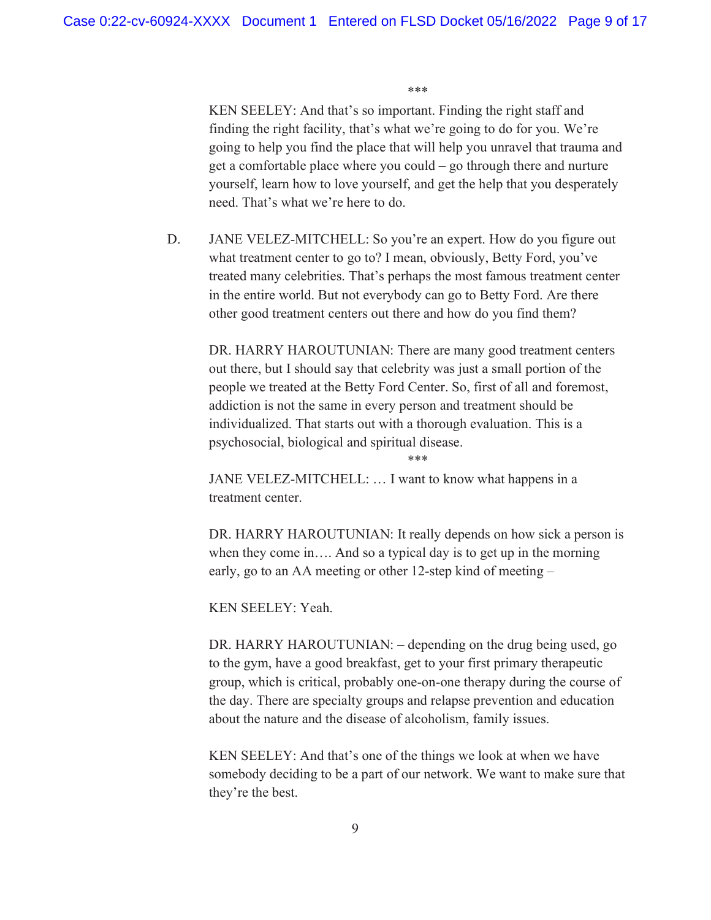\*\*\*

KEN SEELEY: And that's so important. Finding the right staff and finding the right facility, that's what we're going to do for you. We're going to help you find the place that will help you unravel that trauma and get a comfortable place where you could – go through there and nurture yourself, learn how to love yourself, and get the help that you desperately need. That's what we're here to do.

D. JANE VELEZ-MITCHELL: So you're an expert. How do you figure out what treatment center to go to? I mean, obviously, Betty Ford, you've treated many celebrities. That's perhaps the most famous treatment center in the entire world. But not everybody can go to Betty Ford. Are there other good treatment centers out there and how do you find them?

DR. HARRY HAROUTUNIAN: There are many good treatment centers out there, but I should say that celebrity was just a small portion of the people we treated at the Betty Ford Center. So, first of all and foremost, addiction is not the same in every person and treatment should be individualized. That starts out with a thorough evaluation. This is a psychosocial, biological and spiritual disease.

\*\*\*

JANE VELEZ-MITCHELL: … I want to know what happens in a treatment center.

 when they come in…. And so a typical day is to get up in the morning DR. HARRY HAROUTUNIAN: It really depends on how sick a person is early, go to an AA meeting or other 12-step kind of meeting –

KEN SEELEY: Yeah.

DR. HARRY HAROUTUNIAN: – depending on the drug being used, go to the gym, have a good breakfast, get to your first primary therapeutic group, which is critical, probably one-on-one therapy during the course of the day. There are specialty groups and relapse prevention and education about the nature and the disease of alcoholism, family issues.

 KEN SEELEY: And that's one of the things we look at when we have somebody deciding to be a part of our network. We want to make sure that they're the best.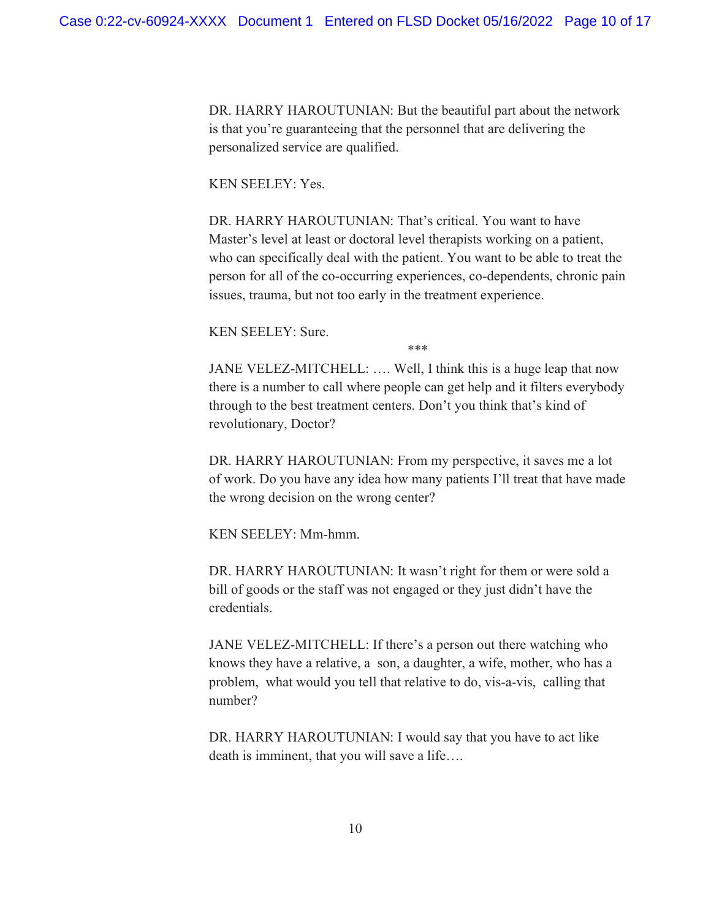DR. HARRY HAROUTUNIAN: But the beautiful part about the network is that you're guaranteeing that the personnel that are delivering the personalized service are qualified.

### KEN SEELEY: Yes.

DR. HARRY HAROUTUNIAN: That's critical. You want to have Master's level at least or doctoral level therapists working on a patient, who can specifically deal with the patient. You want to be able to treat the person for all of the co-occurring experiences, co-dependents, chronic pain issues, trauma, but not too early in the treatment experience.

KEN SEELEY: Sure.

\*\*\*

 there is a number to call where people can get help and it filters everybody JANE VELEZ-MITCHELL: …. Well, I think this is a huge leap that now through to the best treatment centers. Don't you think that's kind of revolutionary, Doctor?

DR. HARRY HAROUTUNIAN: From my perspective, it saves me a lot of work. Do you have any idea how many patients I'll treat that have made the wrong decision on the wrong center?

KEN SEELEY: Mm-hmm.

 DR. HARRY HAROUTUNIAN: It wasn't right for them or were sold a bill of goods or the staff was not engaged or they just didn't have the credentials.

JANE VELEZ-MITCHELL: If there's a person out there watching who knows they have a relative, a son, a daughter, a wife, mother, who has a problem, what would you tell that relative to do, vis-a-vis, calling that number?

 DR. HARRY HAROUTUNIAN: I would say that you have to act like death is imminent, that you will save a life….<br>10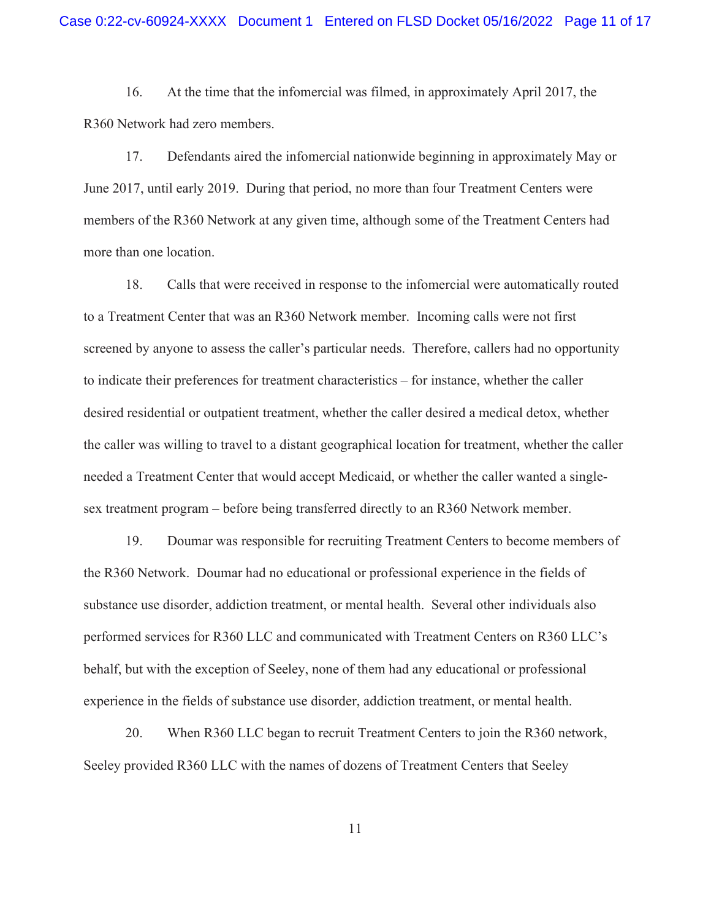R360 Network had zero members. 16. At the time that the infomercial was filmed, in approximately April 2017, the

17. Defendants aired the infomercial nationwide beginning in approximately May or June 2017, until early 2019. During that period, no more than four Treatment Centers were members of the R360 Network at any given time, although some of the Treatment Centers had more than one location.

 the caller was willing to travel to a distant geographical location for treatment, whether the caller 18. Calls that were received in response to the infomercial were automatically routed to a Treatment Center that was an R360 Network member. Incoming calls were not first screened by anyone to assess the caller's particular needs. Therefore, callers had no opportunity to indicate their preferences for treatment characteristics – for instance, whether the caller desired residential or outpatient treatment, whether the caller desired a medical detox, whether needed a Treatment Center that would accept Medicaid, or whether the caller wanted a singlesex treatment program – before being transferred directly to an R360 Network member.

19. Doumar was responsible for recruiting Treatment Centers to become members of the R360 Network. Doumar had no educational or professional experience in the fields of substance use disorder, addiction treatment, or mental health. Several other individuals also performed services for R360 LLC and communicated with Treatment Centers on R360 LLC's behalf, but with the exception of Seeley, none of them had any educational or professional experience in the fields of substance use disorder, addiction treatment, or mental health.

20. When R360 LLC began to recruit Treatment Centers to join the R360 network, Seeley provided R360 LLC with the names of dozens of Treatment Centers that Seeley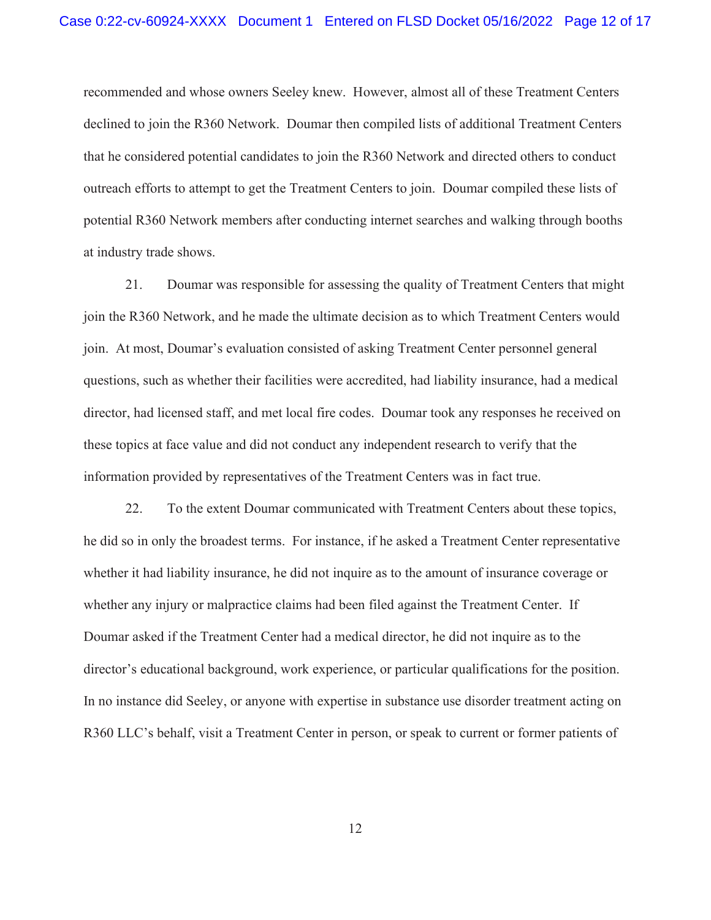recommended and whose owners Seeley knew. However, almost all of these Treatment Centers declined to join the R360 Network. Doumar then compiled lists of additional Treatment Centers that he considered potential candidates to join the R360 Network and directed others to conduct outreach efforts to attempt to get the Treatment Centers to join. Doumar compiled these lists of potential R360 Network members after conducting internet searches and walking through booths at industry trade shows.

 join the R360 Network, and he made the ultimate decision as to which Treatment Centers would join. At most, Doumar's evaluation consisted of asking Treatment Center personnel general information provided by representatives of the Treatment Centers was in fact true. 22. To the extent Doumar communicated with Treatment Centers about these topics, 21. Doumar was responsible for assessing the quality of Treatment Centers that might questions, such as whether their facilities were accredited, had liability insurance, had a medical director, had licensed staff, and met local fire codes. Doumar took any responses he received on these topics at face value and did not conduct any independent research to verify that the

 whether any injury or malpractice claims had been filed against the Treatment Center. If he did so in only the broadest terms. For instance, if he asked a Treatment Center representative whether it had liability insurance, he did not inquire as to the amount of insurance coverage or Doumar asked if the Treatment Center had a medical director, he did not inquire as to the director's educational background, work experience, or particular qualifications for the position. In no instance did Seeley, or anyone with expertise in substance use disorder treatment acting on R360 LLC's behalf, visit a Treatment Center in person, or speak to current or former patients of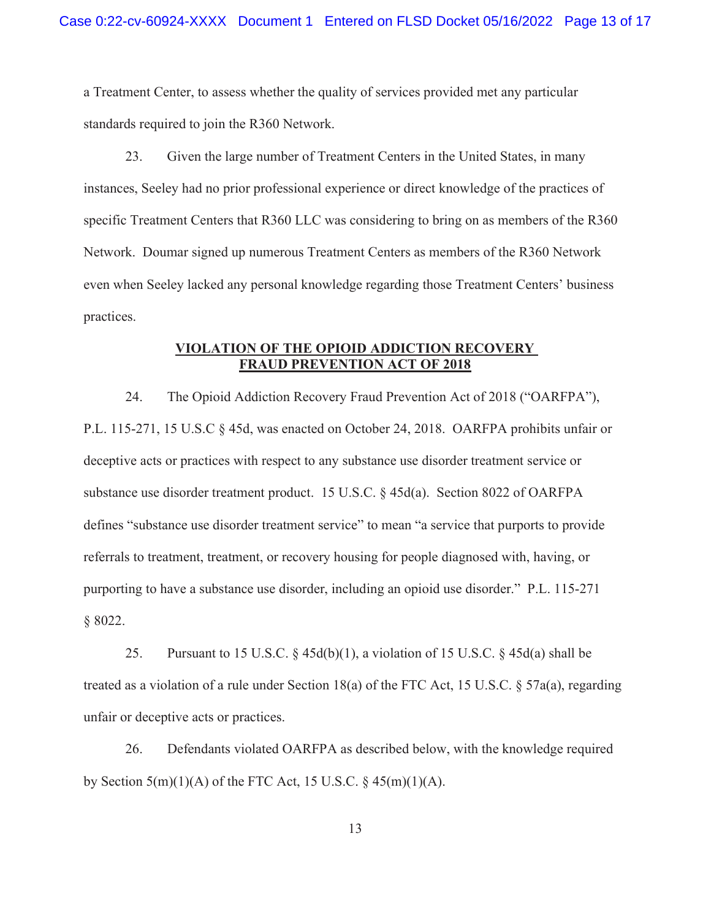a Treatment Center, to assess whether the quality of services provided met any particular standards required to join the R360 Network.

23. Given the large number of Treatment Centers in the United States, in many instances, Seeley had no prior professional experience or direct knowledge of the practices of specific Treatment Centers that R360 LLC was considering to bring on as members of the R360 Network. Doumar signed up numerous Treatment Centers as members of the R360 Network even when Seeley lacked any personal knowledge regarding those Treatment Centers' business practices.

## VIOLATION OF THE OPIOID ADDICTION RECOVERY FRAUD PREVENTION ACT OF 2018

24. The Opioid Addiction Recovery Fraud Prevention Act of 2018 ("OARFPA"), P.L. 115-271, 15 U.S.C § 45d, was enacted on October 24, 2018. OARFPA prohibits unfair or deceptive acts or practices with respect to any substance use disorder treatment service or substance use disorder treatment product. 15 U.S.C. § 45d(a). Section 8022 of OARFPA defines "substance use disorder treatment service" to mean "a service that purports to provide referrals to treatment, treatment, or recovery housing for people diagnosed with, having, or purporting to have a substance use disorder, including an opioid use disorder." P.L. 115-271 § 8022.

25. Pursuant to 15 U.S.C.  $\frac{25}{45d(b)(1)}$ , a violation of 15 U.S.C.  $\frac{25}{45d(a)}$  shall be treated as a violation of a rule under Section 18(a) of the FTC Act, 15 U.S.C. § 57a(a), regarding unfair or deceptive acts or practices.

by Section  $5(m)(1)(A)$  of the FTC Act, 15 U.S.C.  $\S$  45 $(m)(1)(A)$ . 26. Defendants violated OARFPA as described below, with the knowledge required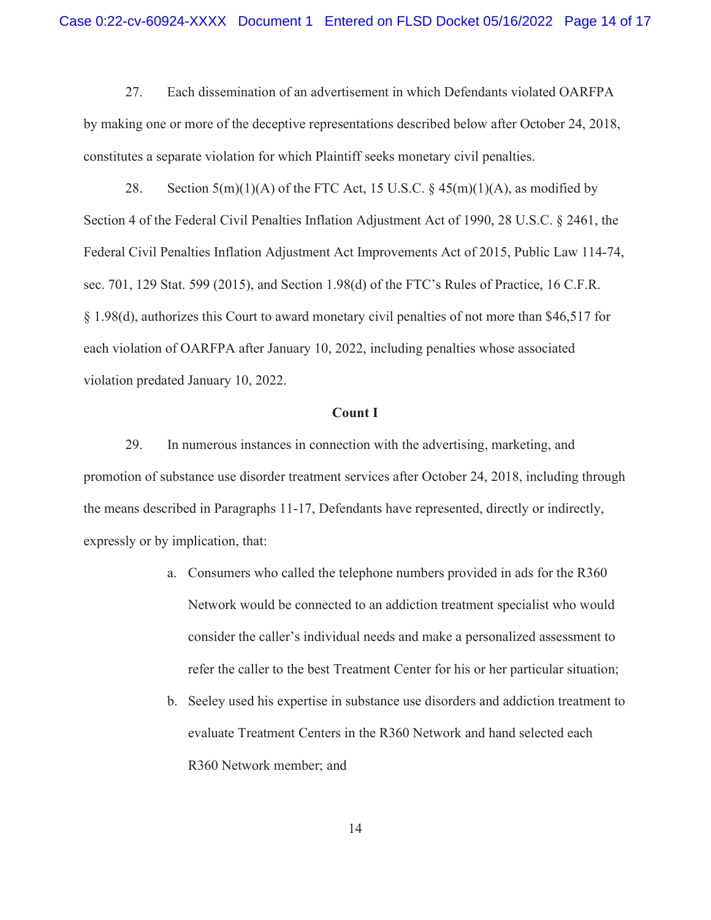27. Each dissemination of an advertisement in which Defendants violated OARFPA by making one or more of the deceptive representations described below after October 24, 2018, constitutes a separate violation for which Plaintiff seeks monetary civil penalties.

28. Section  $5(m)(1)(A)$  of the FTC Act, 15 U.S.C. §  $45(m)(1)(A)$ , as modified by Section 4 of the Federal Civil Penalties Inflation Adjustment Act of 1990, 28 U.S.C. § 2461, the Federal Civil Penalties Inflation Adjustment Act Improvements Act of 2015, Public Law 114-74, sec. 701, 129 Stat. 599 (2015), and Section 1.98(d) of the FTC's Rules of Practice, 16 C.F.R. § 1.98(d), authorizes this Court to award monetary civil penalties of not more than \$46,517 for each violation of OARFPA after January 10, 2022, including penalties whose associated violation predated January 10, 2022.

#### Count I

29. In numerous instances in connection with the advertising, marketing, and promotion of substance use disorder treatment services after October 24, 2018, including through the means described in Paragraphs 11-17, Defendants have represented, directly or indirectly, expressly or by implication, that:

- a. Consumers who called the telephone numbers provided in ads for the R360 Network would be connected to an addiction treatment specialist who would consider the caller's individual needs and make a personalized assessment to refer the caller to the best Treatment Center for his or her particular situation;
- b. Seeley used his expertise in substance use disorders and addiction treatment to evaluate Treatment Centers in the R360 Network and hand selected each R360 Network member; and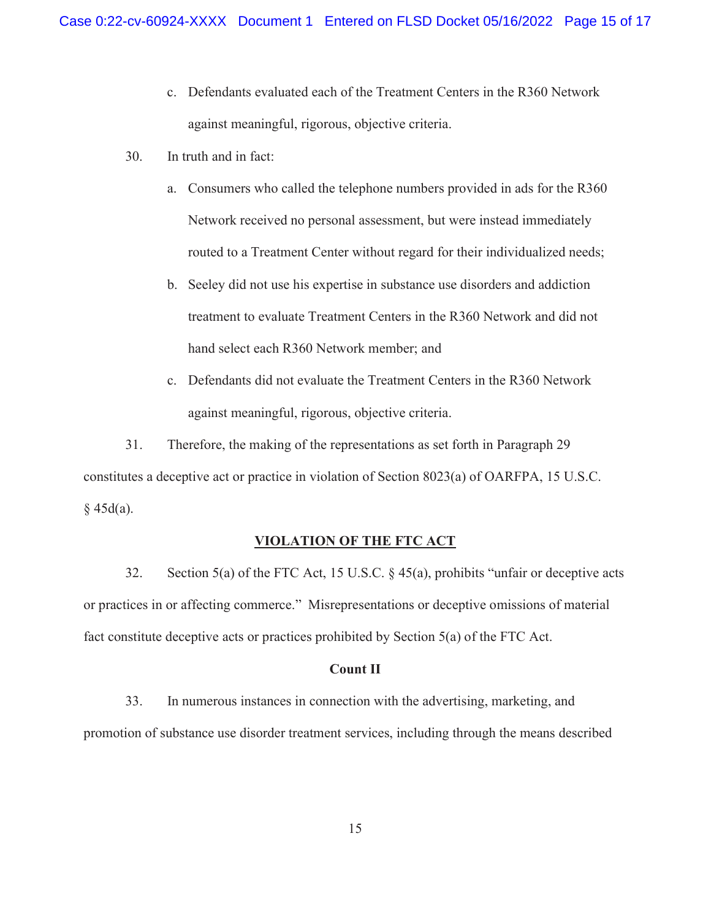- c. Defendants evaluated each of the Treatment Centers in the R360 Network against meaningful, rigorous, objective criteria.
- 30. In truth and in fact:
	- a. Consumers who called the telephone numbers provided in ads for the R360 Network received no personal assessment, but were instead immediately routed to a Treatment Center without regard for their individualized needs;
	- b. Seeley did not use his expertise in substance use disorders and addiction treatment to evaluate Treatment Centers in the R360 Network and did not hand select each R360 Network member; and
	- c. Defendants did not evaluate the Treatment Centers in the R360 Network against meaningful, rigorous, objective criteria.

31. Therefore, the making of the representations as set forth in Paragraph 29 constitutes a deceptive act or practice in violation of Section 8023(a) of OARFPA, 15 U.S.C.  $§$  45d(a).

### VIOLATION OF THE FTC ACT

 or practices in or affecting commerce." Misrepresentations or deceptive omissions of material fact constitute deceptive acts or practices prohibited by Section 5(a) of the FTC Act. 32. Section 5(a) of the FTC Act, 15 U.S.C. § 45(a), prohibits "unfair or deceptive acts

#### Count II

33. In numerous instances in connection with the advertising, marketing, and promotion of substance use disorder treatment services, including through the means described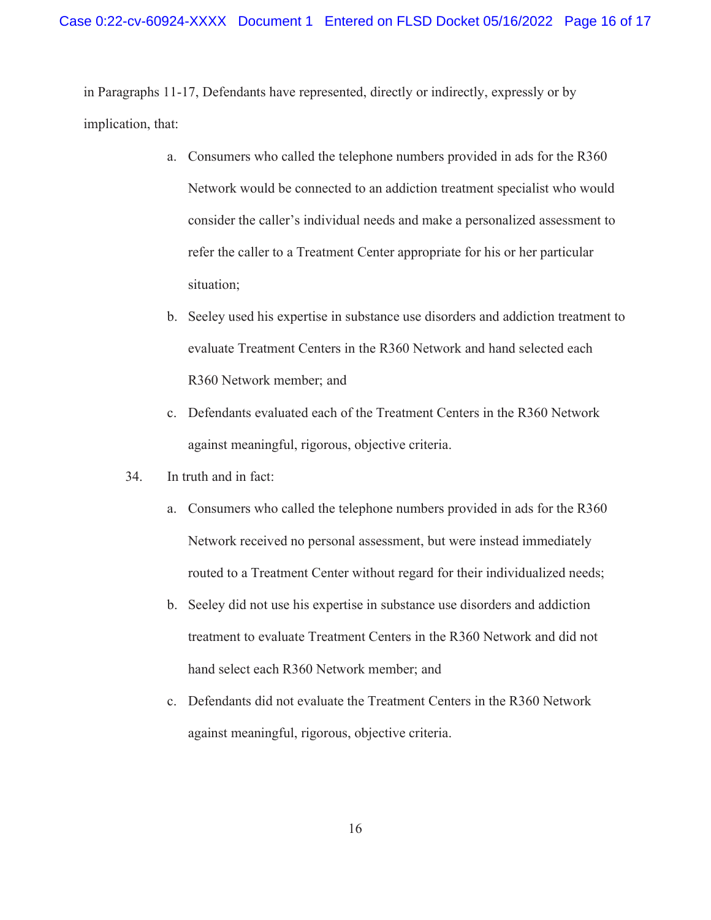in Paragraphs 11-17, Defendants have represented, directly or indirectly, expressly or by implication, that:

- a. Consumers who called the telephone numbers provided in ads for the R360 Network would be connected to an addiction treatment specialist who would consider the caller's individual needs and make a personalized assessment to refer the caller to a Treatment Center appropriate for his or her particular situation;
- b. Seeley used his expertise in substance use disorders and addiction treatment to evaluate Treatment Centers in the R360 Network and hand selected each R360 Network member; and
- c. Defendants evaluated each of the Treatment Centers in the R360 Network against meaningful, rigorous, objective criteria.
- 34. In truth and in fact:
	- a. Consumers who called the telephone numbers provided in ads for the R360 Network received no personal assessment, but were instead immediately routed to a Treatment Center without regard for their individualized needs;
	- b. Seeley did not use his expertise in substance use disorders and addiction treatment to evaluate Treatment Centers in the R360 Network and did not hand select each R360 Network member; and
	- c. Defendants did not evaluate the Treatment Centers in the R360 Network against meaningful, rigorous, objective criteria.